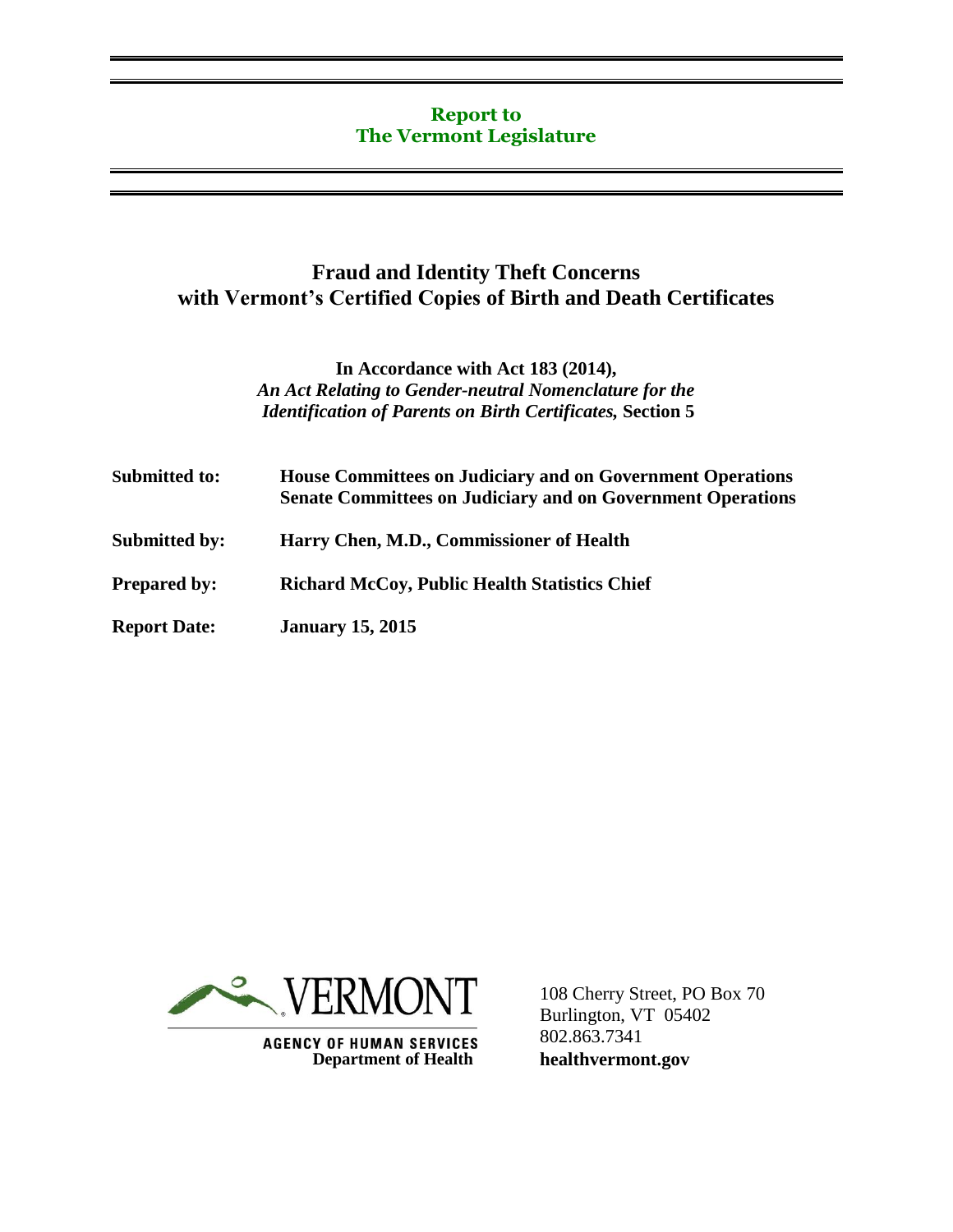## **Report to The Vermont Legislature**

## **Fraud and Identity Theft Concerns with Vermont's Certified Copies of Birth and Death Certificates**

## **In Accordance with Act 183 (2014),** *An Act Relating to Gender-neutral Nomenclature for the Identification of Parents on Birth Certificates,* **Section 5**

| Submitted to:        | <b>House Committees on Judiciary and on Government Operations</b><br><b>Senate Committees on Judiciary and on Government Operations</b> |  |
|----------------------|-----------------------------------------------------------------------------------------------------------------------------------------|--|
| <b>Submitted by:</b> | Harry Chen, M.D., Commissioner of Health                                                                                                |  |
| <b>Prepared by:</b>  | <b>Richard McCoy, Public Health Statistics Chief</b>                                                                                    |  |
| <b>Report Date:</b>  | <b>January 15, 2015</b>                                                                                                                 |  |



**AGENCY OF HUMAN SERVICES Department of Health** 

108 Cherry Street, PO Box 70 Burlington, VT 05402 802.863.7341 **healthvermont.gov**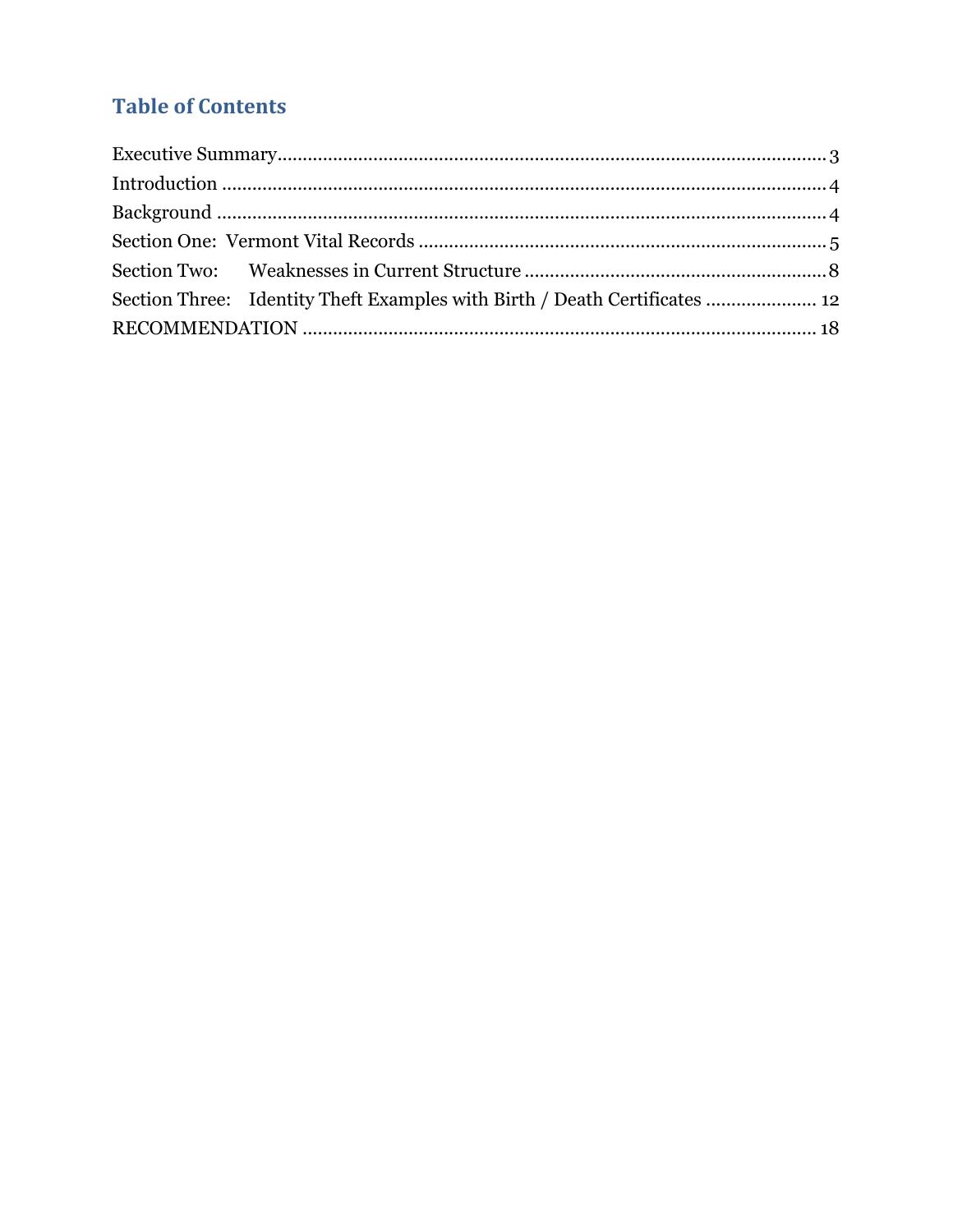# **Table of Contents**

|  | Section Three: Identity Theft Examples with Birth / Death Certificates  12 |  |  |  |
|--|----------------------------------------------------------------------------|--|--|--|
|  |                                                                            |  |  |  |
|  |                                                                            |  |  |  |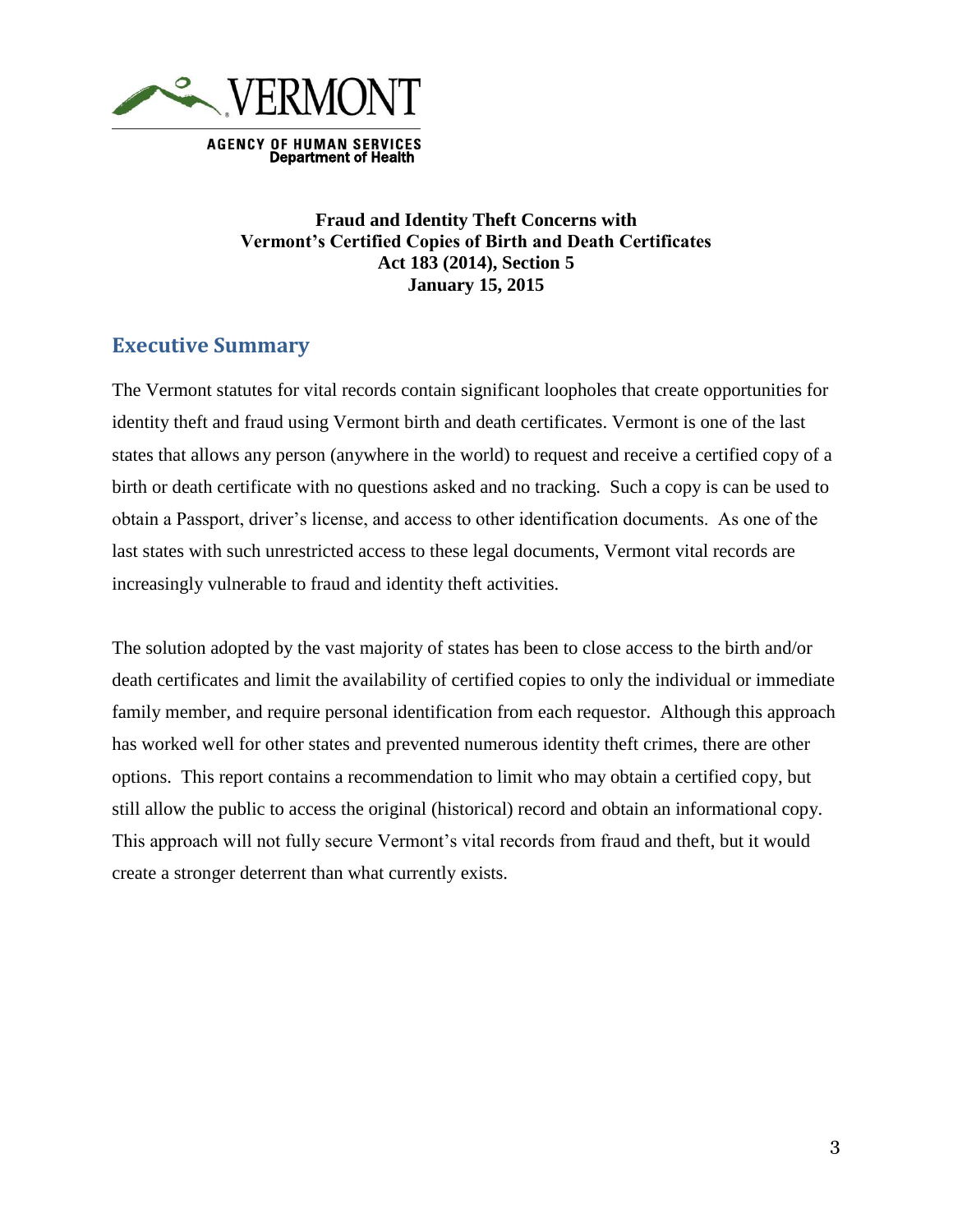

**AGENCY OF HUMAN SERVICES** Department of Health

## **Fraud and Identity Theft Concerns with Vermont's Certified Copies of Birth and Death Certificates Act 183 (2014), Section 5 January 15, 2015**

## <span id="page-2-0"></span>**Executive Summary**

The Vermont statutes for vital records contain significant loopholes that create opportunities for identity theft and fraud using Vermont birth and death certificates. Vermont is one of the last states that allows any person (anywhere in the world) to request and receive a certified copy of a birth or death certificate with no questions asked and no tracking. Such a copy is can be used to obtain a Passport, driver's license, and access to other identification documents. As one of the last states with such unrestricted access to these legal documents, Vermont vital records are increasingly vulnerable to fraud and identity theft activities.

The solution adopted by the vast majority of states has been to close access to the birth and/or death certificates and limit the availability of certified copies to only the individual or immediate family member, and require personal identification from each requestor. Although this approach has worked well for other states and prevented numerous identity theft crimes, there are other options. This report contains a recommendation to limit who may obtain a certified copy, but still allow the public to access the original (historical) record and obtain an informational copy. This approach will not fully secure Vermont's vital records from fraud and theft, but it would create a stronger deterrent than what currently exists.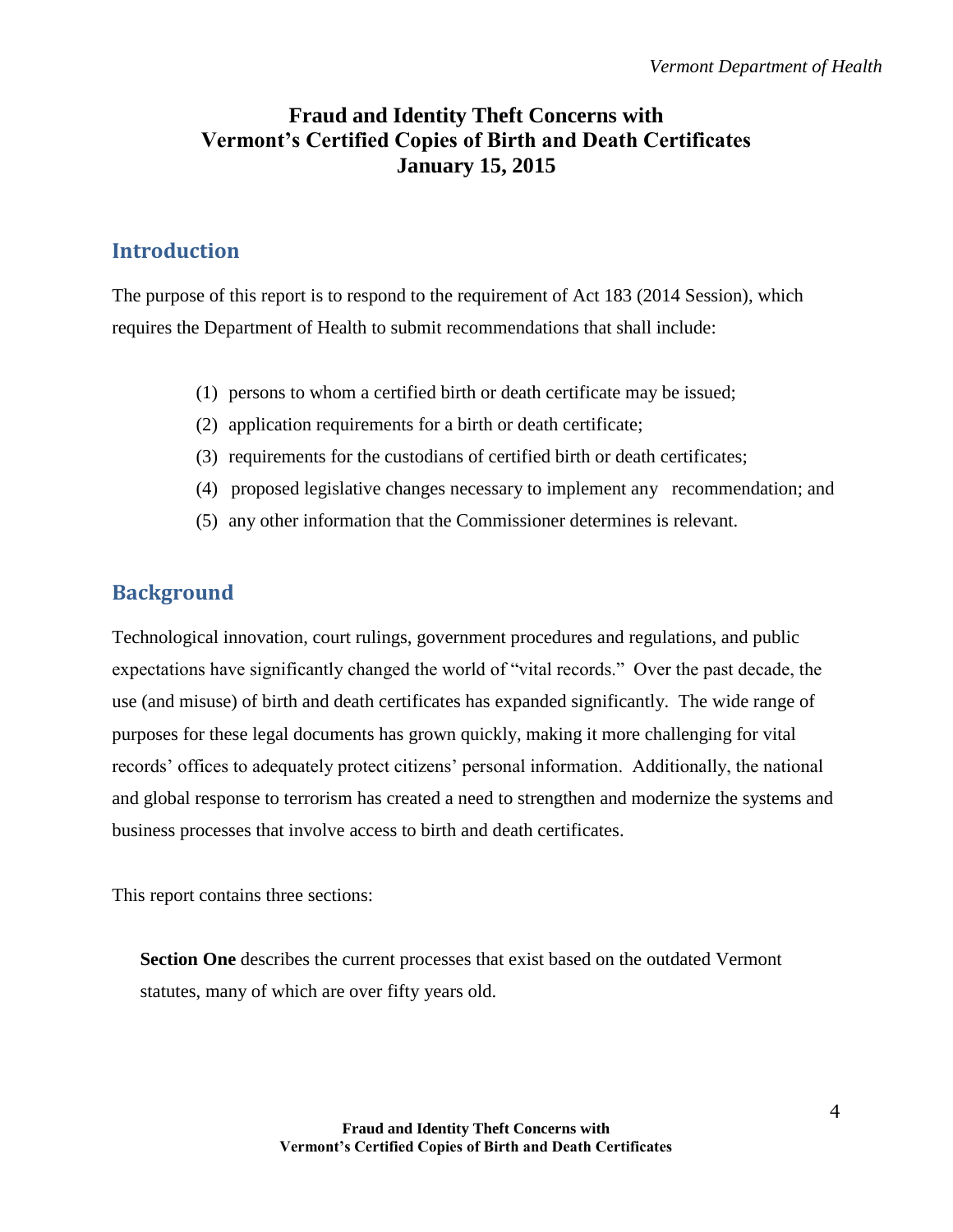# **Fraud and Identity Theft Concerns with Vermont's Certified Copies of Birth and Death Certificates January 15, 2015**

# <span id="page-3-0"></span>**Introduction**

The purpose of this report is to respond to the requirement of Act 183 (2014 Session), which requires the Department of Health to submit recommendations that shall include:

- (1) persons to whom a certified birth or death certificate may be issued;
- (2) application requirements for a birth or death certificate;
- (3) requirements for the custodians of certified birth or death certificates;
- (4) proposed legislative changes necessary to implement any recommendation; and
- (5) any other information that the Commissioner determines is relevant.

# <span id="page-3-1"></span>**Background**

Technological innovation, court rulings, government procedures and regulations, and public expectations have significantly changed the world of "vital records." Over the past decade, the use (and misuse) of birth and death certificates has expanded significantly. The wide range of purposes for these legal documents has grown quickly, making it more challenging for vital records' offices to adequately protect citizens' personal information. Additionally, the national and global response to terrorism has created a need to strengthen and modernize the systems and business processes that involve access to birth and death certificates.

This report contains three sections:

**Section One** describes the current processes that exist based on the outdated Vermont statutes, many of which are over fifty years old.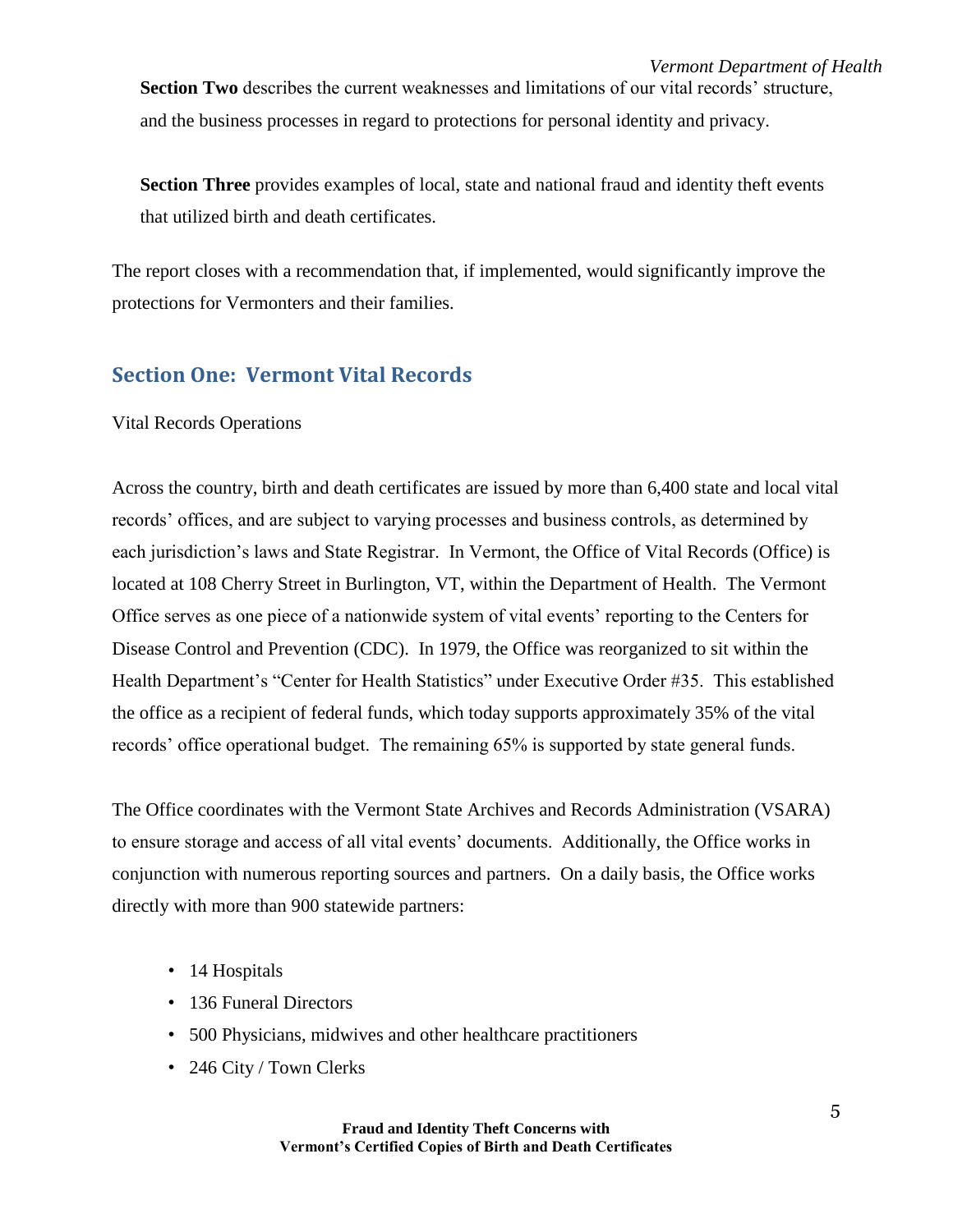*Vermont Department of Health* **Section Two** describes the current weaknesses and limitations of our vital records' structure, and the business processes in regard to protections for personal identity and privacy.

**Section Three** provides examples of local, state and national fraud and identity theft events that utilized birth and death certificates.

The report closes with a recommendation that, if implemented, would significantly improve the protections for Vermonters and their families.

## <span id="page-4-0"></span>**Section One: Vermont Vital Records**

Vital Records Operations

Across the country, birth and death certificates are issued by more than 6,400 state and local vital records' offices, and are subject to varying processes and business controls, as determined by each jurisdiction's laws and State Registrar. In Vermont, the Office of Vital Records (Office) is located at 108 Cherry Street in Burlington, VT, within the Department of Health. The Vermont Office serves as one piece of a nationwide system of vital events' reporting to the Centers for Disease Control and Prevention (CDC). In 1979, the Office was reorganized to sit within the Health Department's "Center for Health Statistics" under Executive Order #35. This established the office as a recipient of federal funds, which today supports approximately 35% of the vital records' office operational budget. The remaining 65% is supported by state general funds.

The Office coordinates with the Vermont State Archives and Records Administration (VSARA) to ensure storage and access of all vital events' documents. Additionally, the Office works in conjunction with numerous reporting sources and partners. On a daily basis, the Office works directly with more than 900 statewide partners:

- 14 Hospitals
- 136 Funeral Directors
- 500 Physicians, midwives and other healthcare practitioners
- 246 City / Town Clerks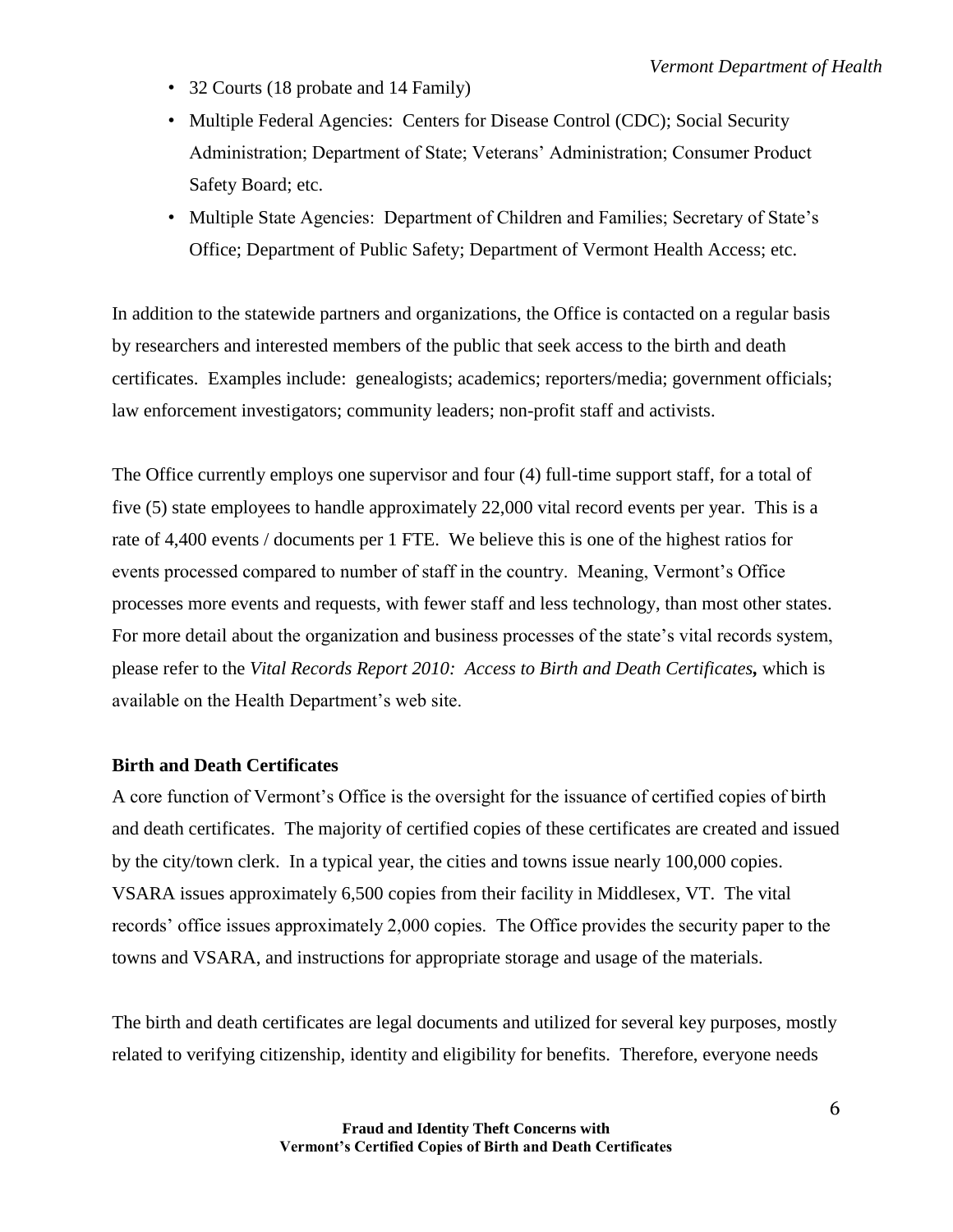- 32 Courts (18 probate and 14 Family)
- Multiple Federal Agencies: Centers for Disease Control (CDC); Social Security Administration; Department of State; Veterans' Administration; Consumer Product Safety Board; etc.
- Multiple State Agencies: Department of Children and Families; Secretary of State's Office; Department of Public Safety; Department of Vermont Health Access; etc.

In addition to the statewide partners and organizations, the Office is contacted on a regular basis by researchers and interested members of the public that seek access to the birth and death certificates. Examples include: genealogists; academics; reporters/media; government officials; law enforcement investigators; community leaders; non-profit staff and activists.

The Office currently employs one supervisor and four (4) full-time support staff, for a total of five (5) state employees to handle approximately 22,000 vital record events per year. This is a rate of 4,400 events / documents per 1 FTE. We believe this is one of the highest ratios for events processed compared to number of staff in the country. Meaning, Vermont's Office processes more events and requests, with fewer staff and less technology, than most other states. For more detail about the organization and business processes of the state's vital records system, please refer to the *Vital Records Report 2010: Access to Birth and Death Certificates,* which is available on the Health Department's web site.

#### **Birth and Death Certificates**

A core function of Vermont's Office is the oversight for the issuance of certified copies of birth and death certificates. The majority of certified copies of these certificates are created and issued by the city/town clerk. In a typical year, the cities and towns issue nearly 100,000 copies. VSARA issues approximately 6,500 copies from their facility in Middlesex, VT. The vital records' office issues approximately 2,000 copies. The Office provides the security paper to the towns and VSARA, and instructions for appropriate storage and usage of the materials.

The birth and death certificates are legal documents and utilized for several key purposes, mostly related to verifying citizenship, identity and eligibility for benefits. Therefore, everyone needs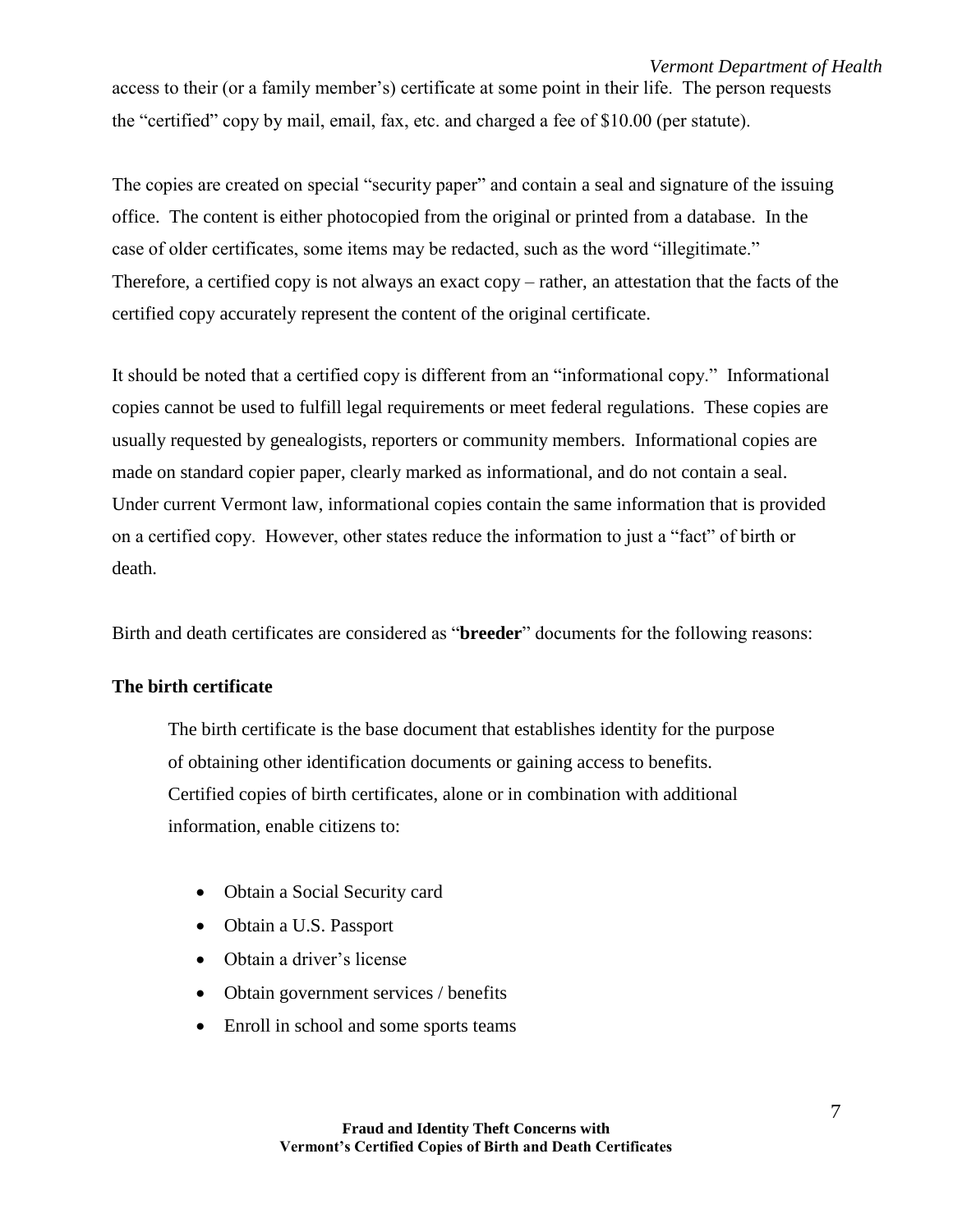access to their (or a family member's) certificate at some point in their life. The person requests the "certified" copy by mail, email, fax, etc. and charged a fee of \$10.00 (per statute).

The copies are created on special "security paper" and contain a seal and signature of the issuing office. The content is either photocopied from the original or printed from a database. In the case of older certificates, some items may be redacted, such as the word "illegitimate." Therefore, a certified copy is not always an exact copy – rather, an attestation that the facts of the certified copy accurately represent the content of the original certificate.

It should be noted that a certified copy is different from an "informational copy." Informational copies cannot be used to fulfill legal requirements or meet federal regulations. These copies are usually requested by genealogists, reporters or community members. Informational copies are made on standard copier paper, clearly marked as informational, and do not contain a seal. Under current Vermont law, informational copies contain the same information that is provided on a certified copy. However, other states reduce the information to just a "fact" of birth or death.

Birth and death certificates are considered as "**breeder**" documents for the following reasons:

## **The birth certificate**

The birth certificate is the base document that establishes identity for the purpose of obtaining other identification documents or gaining access to benefits. Certified copies of birth certificates, alone or in combination with additional information, enable citizens to:

- Obtain a Social Security card
- Obtain a U.S. Passport
- Obtain a driver's license
- Obtain government services / benefits
- Enroll in school and some sports teams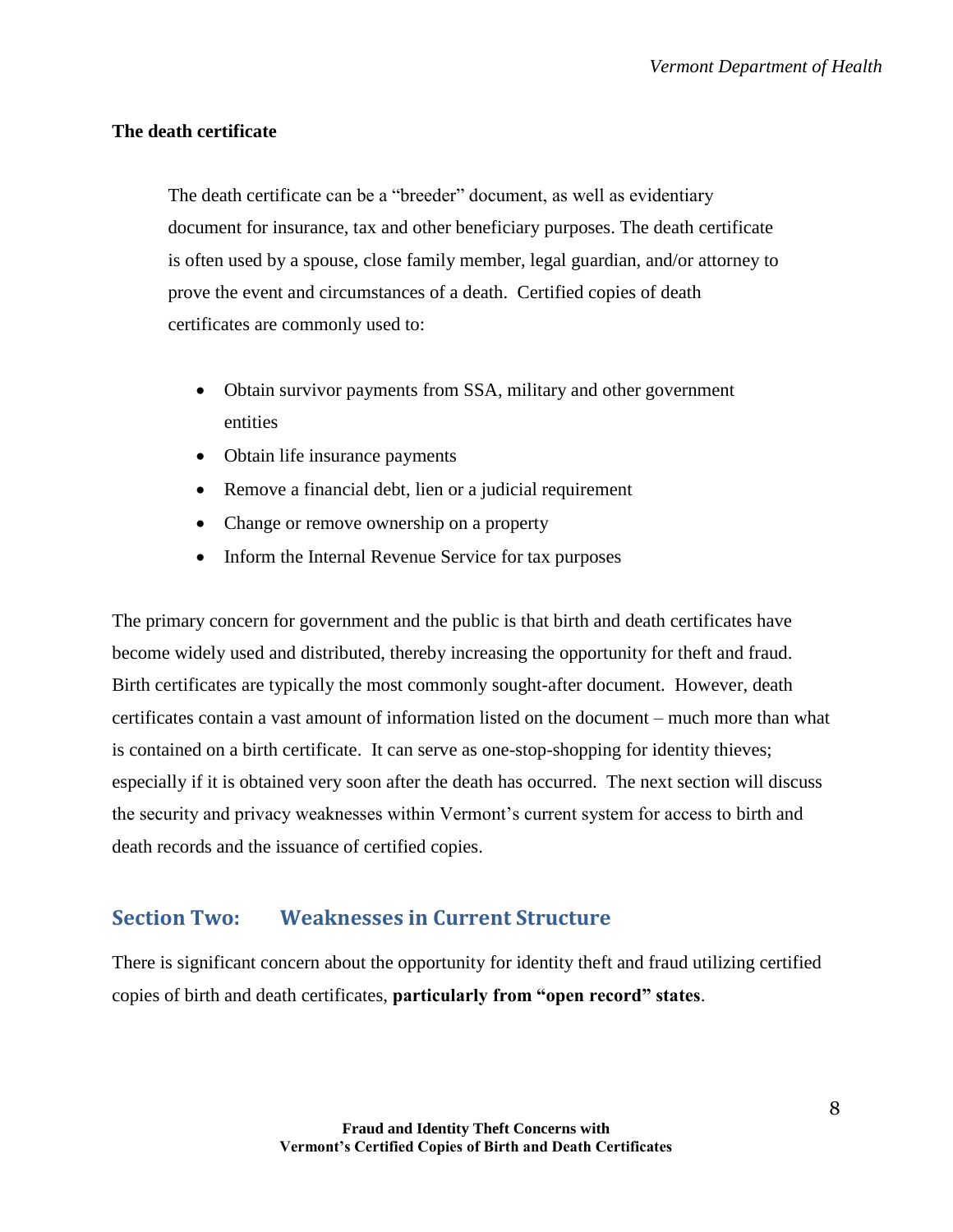## **The death certificate**

The death certificate can be a "breeder" document, as well as evidentiary document for insurance, tax and other beneficiary purposes. The death certificate is often used by a spouse, close family member, legal guardian, and/or attorney to prove the event and circumstances of a death. Certified copies of death certificates are commonly used to:

- Obtain survivor payments from SSA, military and other government entities
- Obtain life insurance payments
- Remove a financial debt, lien or a judicial requirement
- Change or remove ownership on a property
- Inform the Internal Revenue Service for tax purposes

The primary concern for government and the public is that birth and death certificates have become widely used and distributed, thereby increasing the opportunity for theft and fraud. Birth certificates are typically the most commonly sought-after document. However, death certificates contain a vast amount of information listed on the document – much more than what is contained on a birth certificate. It can serve as one-stop-shopping for identity thieves; especially if it is obtained very soon after the death has occurred. The next section will discuss the security and privacy weaknesses within Vermont's current system for access to birth and death records and the issuance of certified copies.

## <span id="page-7-0"></span>**Section Two: Weaknesses in Current Structure**

There is significant concern about the opportunity for identity theft and fraud utilizing certified copies of birth and death certificates, **particularly from "open record" states**.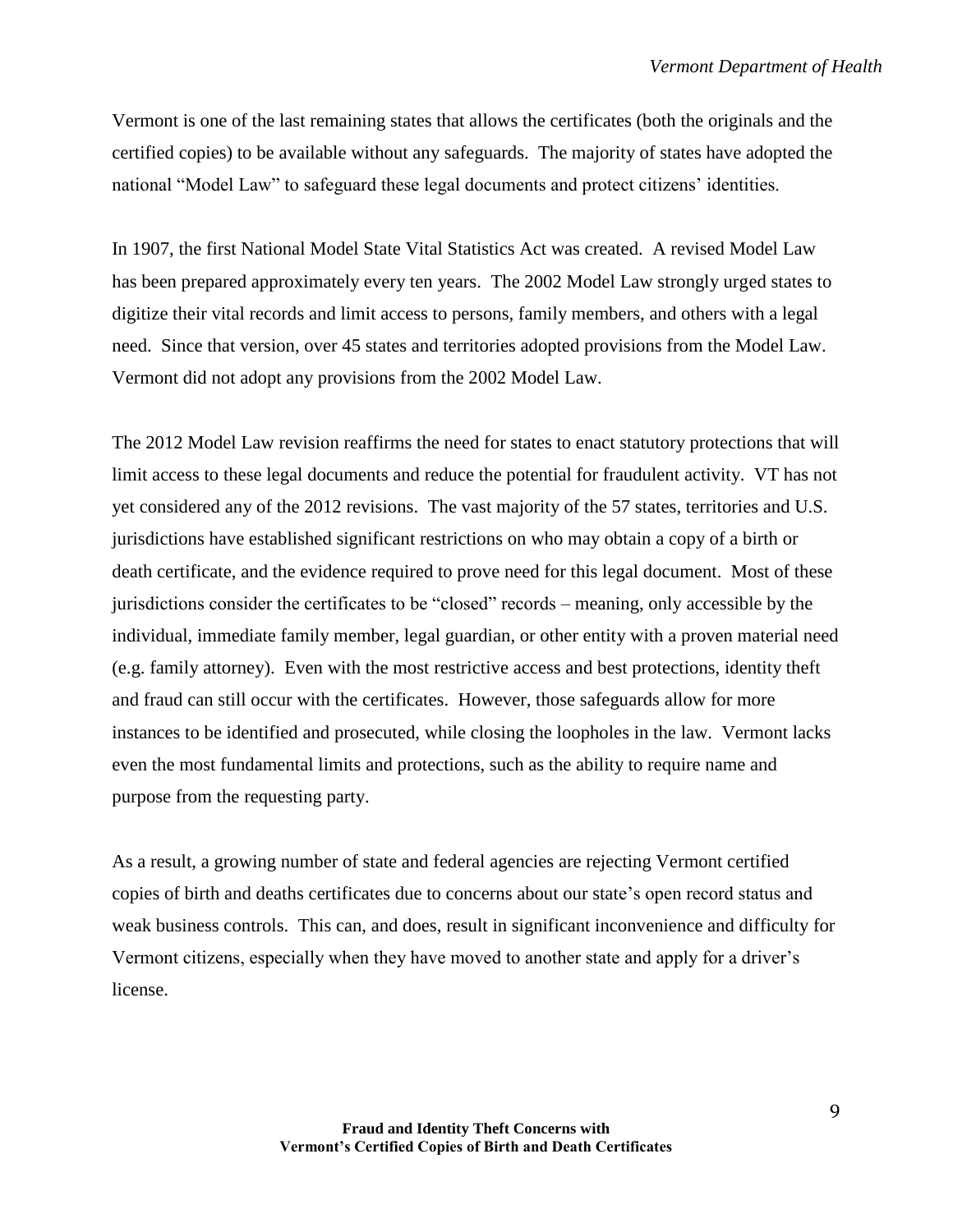Vermont is one of the last remaining states that allows the certificates (both the originals and the certified copies) to be available without any safeguards. The majority of states have adopted the national "Model Law" to safeguard these legal documents and protect citizens' identities.

In 1907, the first National Model State Vital Statistics Act was created. A revised Model Law has been prepared approximately every ten years. The 2002 Model Law strongly urged states to digitize their vital records and limit access to persons, family members, and others with a legal need. Since that version, over 45 states and territories adopted provisions from the Model Law. Vermont did not adopt any provisions from the 2002 Model Law.

The 2012 Model Law revision reaffirms the need for states to enact statutory protections that will limit access to these legal documents and reduce the potential for fraudulent activity. VT has not yet considered any of the 2012 revisions. The vast majority of the 57 states, territories and U.S. jurisdictions have established significant restrictions on who may obtain a copy of a birth or death certificate, and the evidence required to prove need for this legal document. Most of these jurisdictions consider the certificates to be "closed" records – meaning, only accessible by the individual, immediate family member, legal guardian, or other entity with a proven material need (e.g. family attorney). Even with the most restrictive access and best protections, identity theft and fraud can still occur with the certificates. However, those safeguards allow for more instances to be identified and prosecuted, while closing the loopholes in the law. Vermont lacks even the most fundamental limits and protections, such as the ability to require name and purpose from the requesting party.

As a result, a growing number of state and federal agencies are rejecting Vermont certified copies of birth and deaths certificates due to concerns about our state's open record status and weak business controls. This can, and does, result in significant inconvenience and difficulty for Vermont citizens, especially when they have moved to another state and apply for a driver's license.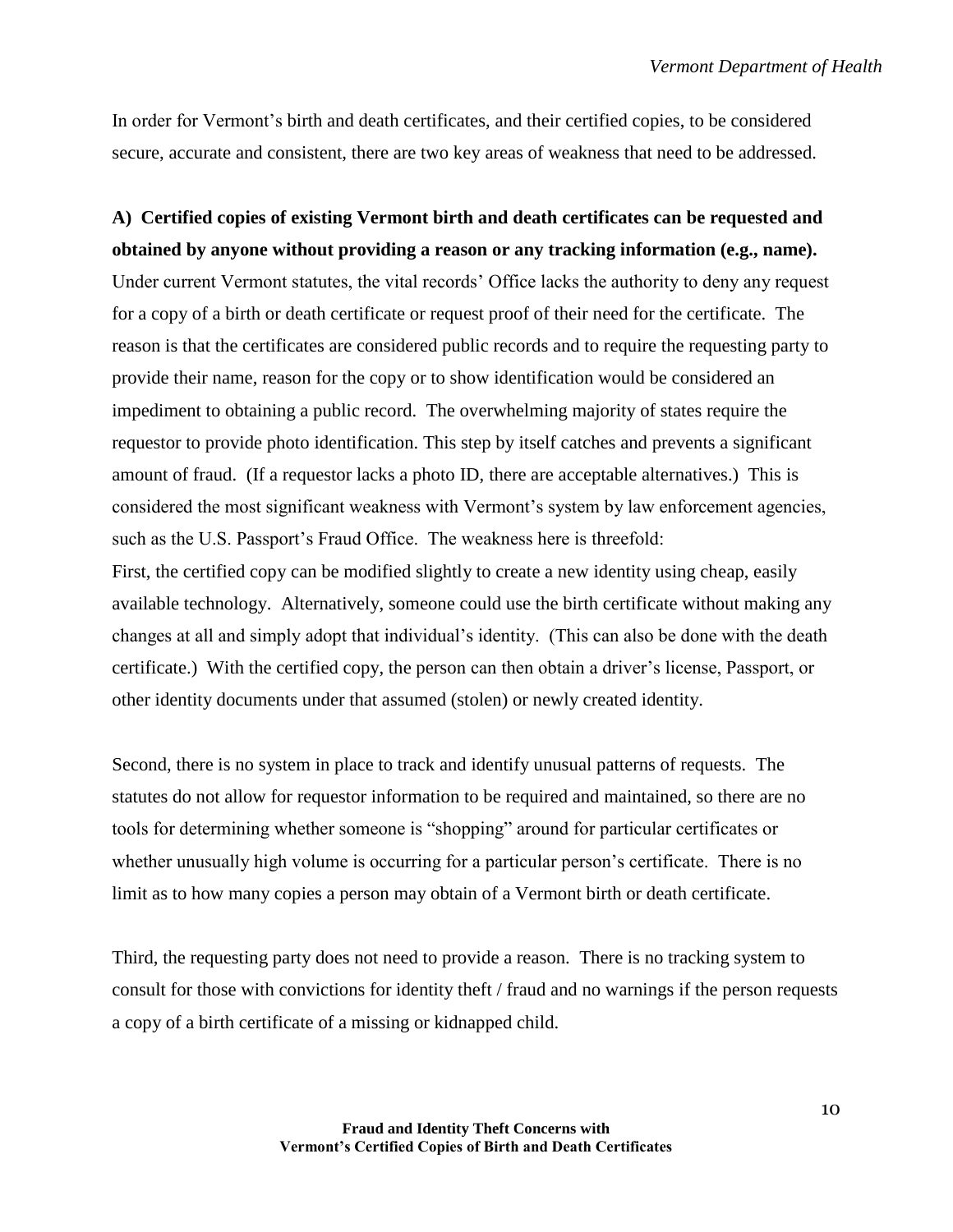In order for Vermont's birth and death certificates, and their certified copies, to be considered secure, accurate and consistent, there are two key areas of weakness that need to be addressed.

# **A) Certified copies of existing Vermont birth and death certificates can be requested and obtained by anyone without providing a reason or any tracking information (e.g., name).**

Under current Vermont statutes, the vital records' Office lacks the authority to deny any request for a copy of a birth or death certificate or request proof of their need for the certificate. The reason is that the certificates are considered public records and to require the requesting party to provide their name, reason for the copy or to show identification would be considered an impediment to obtaining a public record. The overwhelming majority of states require the requestor to provide photo identification. This step by itself catches and prevents a significant amount of fraud. (If a requestor lacks a photo ID, there are acceptable alternatives.) This is considered the most significant weakness with Vermont's system by law enforcement agencies, such as the U.S. Passport's Fraud Office. The weakness here is threefold:

First, the certified copy can be modified slightly to create a new identity using cheap, easily available technology. Alternatively, someone could use the birth certificate without making any changes at all and simply adopt that individual's identity. (This can also be done with the death certificate.) With the certified copy, the person can then obtain a driver's license, Passport, or other identity documents under that assumed (stolen) or newly created identity.

Second, there is no system in place to track and identify unusual patterns of requests. The statutes do not allow for requestor information to be required and maintained, so there are no tools for determining whether someone is "shopping" around for particular certificates or whether unusually high volume is occurring for a particular person's certificate. There is no limit as to how many copies a person may obtain of a Vermont birth or death certificate.

Third, the requesting party does not need to provide a reason. There is no tracking system to consult for those with convictions for identity theft / fraud and no warnings if the person requests a copy of a birth certificate of a missing or kidnapped child.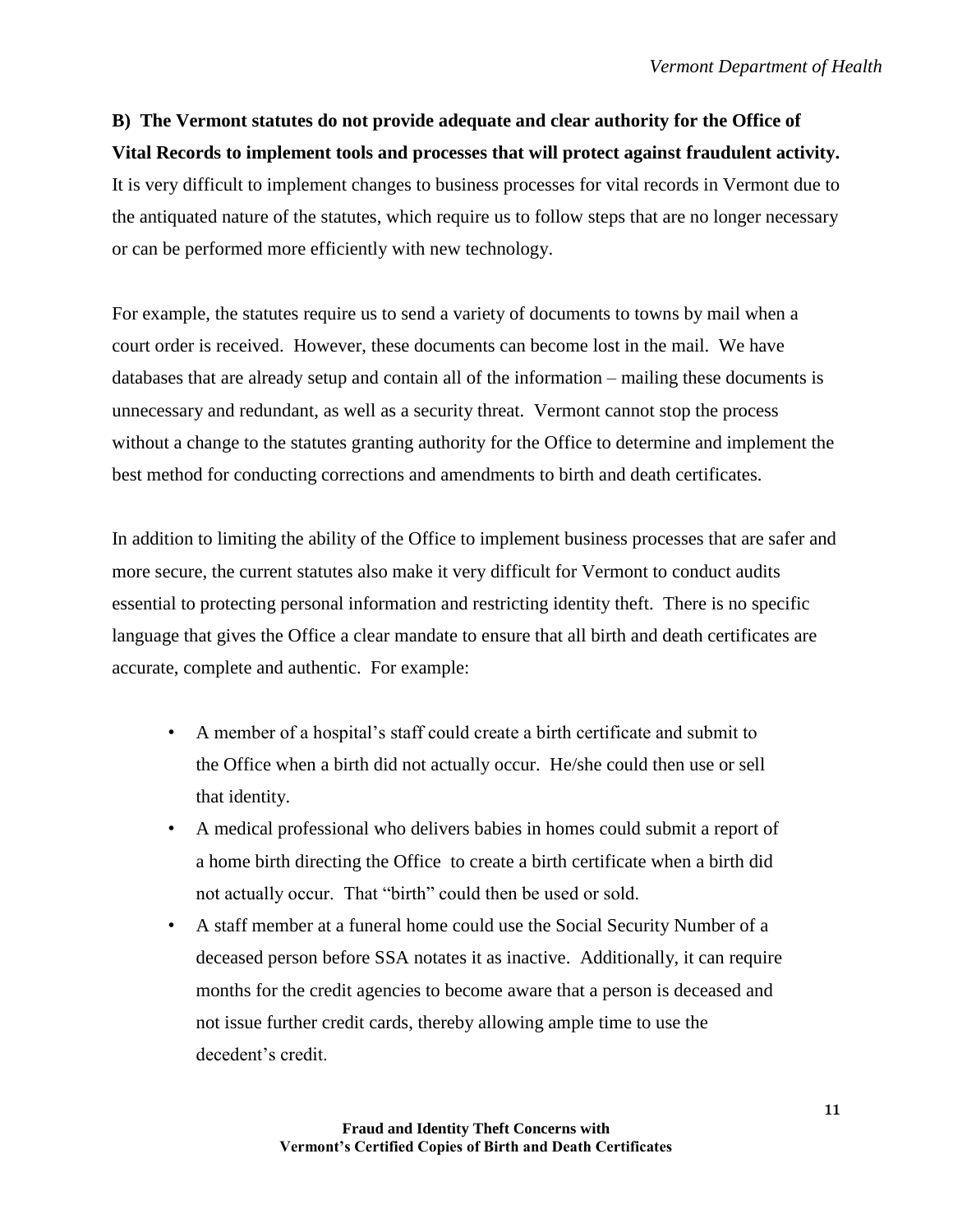**B) The Vermont statutes do not provide adequate and clear authority for the Office of Vital Records to implement tools and processes that will protect against fraudulent activity.** It is very difficult to implement changes to business processes for vital records in Vermont due to the antiquated nature of the statutes, which require us to follow steps that are no longer necessary or can be performed more efficiently with new technology.

For example, the statutes require us to send a variety of documents to towns by mail when a court order is received. However, these documents can become lost in the mail. We have databases that are already setup and contain all of the information – mailing these documents is unnecessary and redundant, as well as a security threat. Vermont cannot stop the process without a change to the statutes granting authority for the Office to determine and implement the best method for conducting corrections and amendments to birth and death certificates.

In addition to limiting the ability of the Office to implement business processes that are safer and more secure, the current statutes also make it very difficult for Vermont to conduct audits essential to protecting personal information and restricting identity theft. There is no specific language that gives the Office a clear mandate to ensure that all birth and death certificates are accurate, complete and authentic. For example:

- A member of a hospital's staff could create a birth certificate and submit to the Office when a birth did not actually occur. He/she could then use or sell that identity.
- A medical professional who delivers babies in homes could submit a report of a home birth directing the Office to create a birth certificate when a birth did not actually occur. That "birth" could then be used or sold.
- A staff member at a funeral home could use the Social Security Number of a deceased person before SSA notates it as inactive. Additionally, it can require months for the credit agencies to become aware that a person is deceased and not issue further credit cards, thereby allowing ample time to use the decedent's credit.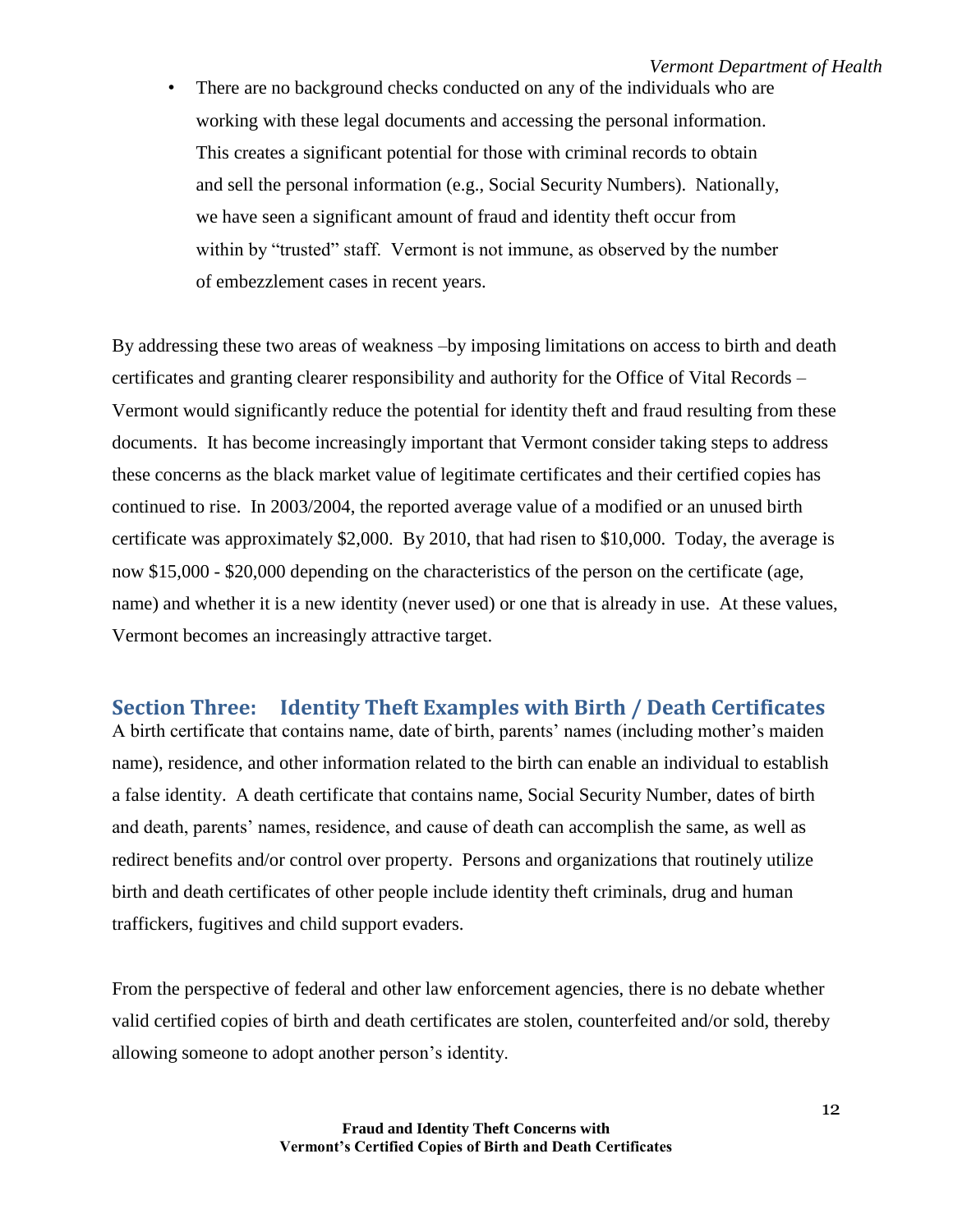• There are no background checks conducted on any of the individuals who are working with these legal documents and accessing the personal information. This creates a significant potential for those with criminal records to obtain and sell the personal information (e.g., Social Security Numbers). Nationally, we have seen a significant amount of fraud and identity theft occur from within by "trusted" staff. Vermont is not immune, as observed by the number of embezzlement cases in recent years.

By addressing these two areas of weakness –by imposing limitations on access to birth and death certificates and granting clearer responsibility and authority for the Office of Vital Records – Vermont would significantly reduce the potential for identity theft and fraud resulting from these documents. It has become increasingly important that Vermont consider taking steps to address these concerns as the black market value of legitimate certificates and their certified copies has continued to rise. In 2003/2004, the reported average value of a modified or an unused birth certificate was approximately \$2,000. By 2010, that had risen to \$10,000. Today, the average is now \$15,000 - \$20,000 depending on the characteristics of the person on the certificate (age, name) and whether it is a new identity (never used) or one that is already in use. At these values, Vermont becomes an increasingly attractive target.

## <span id="page-11-0"></span>**Section Three: Identity Theft Examples with Birth / Death Certificates**

A birth certificate that contains name, date of birth, parents' names (including mother's maiden name), residence, and other information related to the birth can enable an individual to establish a false identity. A death certificate that contains name, Social Security Number, dates of birth and death, parents' names, residence, and cause of death can accomplish the same, as well as redirect benefits and/or control over property. Persons and organizations that routinely utilize birth and death certificates of other people include identity theft criminals, drug and human traffickers, fugitives and child support evaders.

From the perspective of federal and other law enforcement agencies, there is no debate whether valid certified copies of birth and death certificates are stolen, counterfeited and/or sold, thereby allowing someone to adopt another person's identity.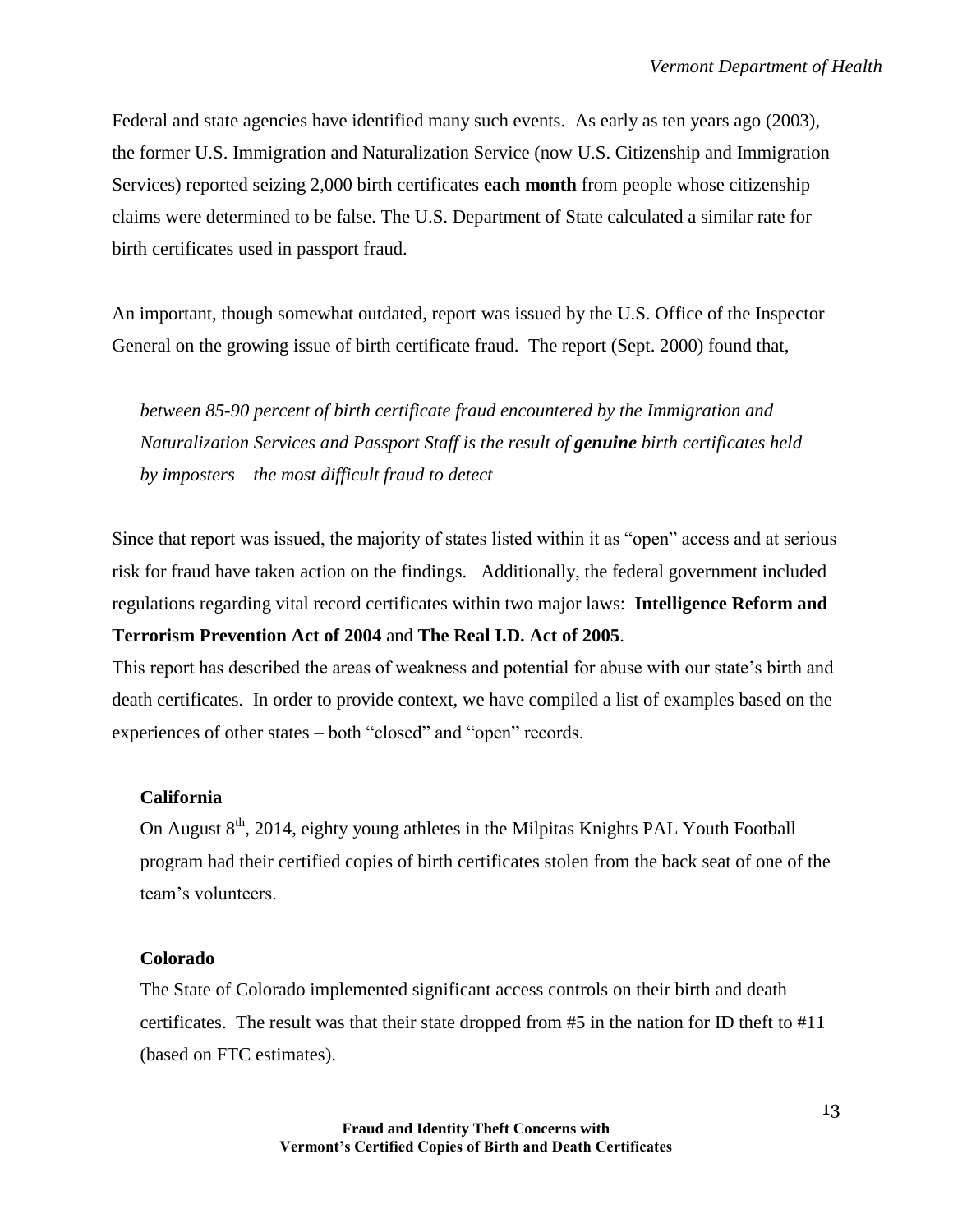Federal and state agencies have identified many such events. As early as ten years ago (2003), the former U.S. Immigration and Naturalization Service (now U.S. Citizenship and Immigration Services) reported seizing 2,000 birth certificates **each month** from people whose citizenship claims were determined to be false. The U.S. Department of State calculated a similar rate for birth certificates used in passport fraud.

An important, though somewhat outdated, report was issued by the U.S. Office of the Inspector General on the growing issue of birth certificate fraud. The report (Sept. 2000) found that,

*between 85-90 percent of birth certificate fraud encountered by the Immigration and Naturalization Services and Passport Staff is the result of genuine birth certificates held by imposters – the most difficult fraud to detect*

Since that report was issued, the majority of states listed within it as "open" access and at serious risk for fraud have taken action on the findings. Additionally, the federal government included regulations regarding vital record certificates within two major laws: **Intelligence Reform and Terrorism Prevention Act of 2004** and **The Real I.D. Act of 2005**.

This report has described the areas of weakness and potential for abuse with our state's birth and death certificates. In order to provide context, we have compiled a list of examples based on the experiences of other states – both "closed" and "open" records.

## **California**

On August  $8<sup>th</sup>$ , 2014, eighty young athletes in the Milpitas Knights PAL Youth Football program had their certified copies of birth certificates stolen from the back seat of one of the team's volunteers.

#### **Colorado**

The State of Colorado implemented significant access controls on their birth and death certificates. The result was that their state dropped from #5 in the nation for ID theft to #11 (based on FTC estimates).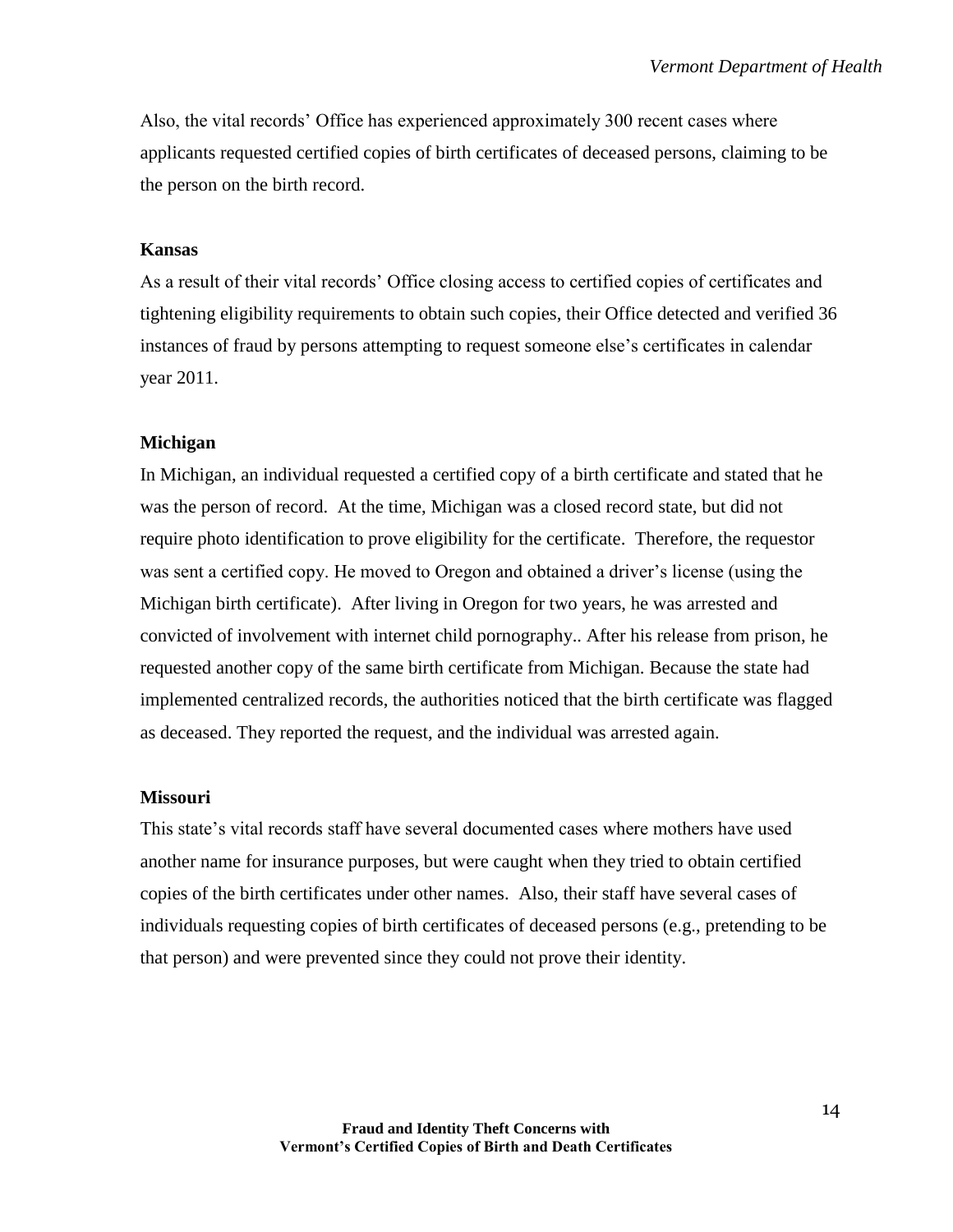Also, the vital records' Office has experienced approximately 300 recent cases where applicants requested certified copies of birth certificates of deceased persons, claiming to be the person on the birth record.

#### **Kansas**

As a result of their vital records' Office closing access to certified copies of certificates and tightening eligibility requirements to obtain such copies, their Office detected and verified 36 instances of fraud by persons attempting to request someone else's certificates in calendar year 2011.

#### **Michigan**

In Michigan, an individual requested a certified copy of a birth certificate and stated that he was the person of record. At the time, Michigan was a closed record state, but did not require photo identification to prove eligibility for the certificate. Therefore, the requestor was sent a certified copy. He moved to Oregon and obtained a driver's license (using the Michigan birth certificate). After living in Oregon for two years, he was arrested and convicted of involvement with internet child pornography.. After his release from prison, he requested another copy of the same birth certificate from Michigan. Because the state had implemented centralized records, the authorities noticed that the birth certificate was flagged as deceased. They reported the request, and the individual was arrested again.

#### **Missouri**

This state's vital records staff have several documented cases where mothers have used another name for insurance purposes, but were caught when they tried to obtain certified copies of the birth certificates under other names. Also, their staff have several cases of individuals requesting copies of birth certificates of deceased persons (e.g., pretending to be that person) and were prevented since they could not prove their identity.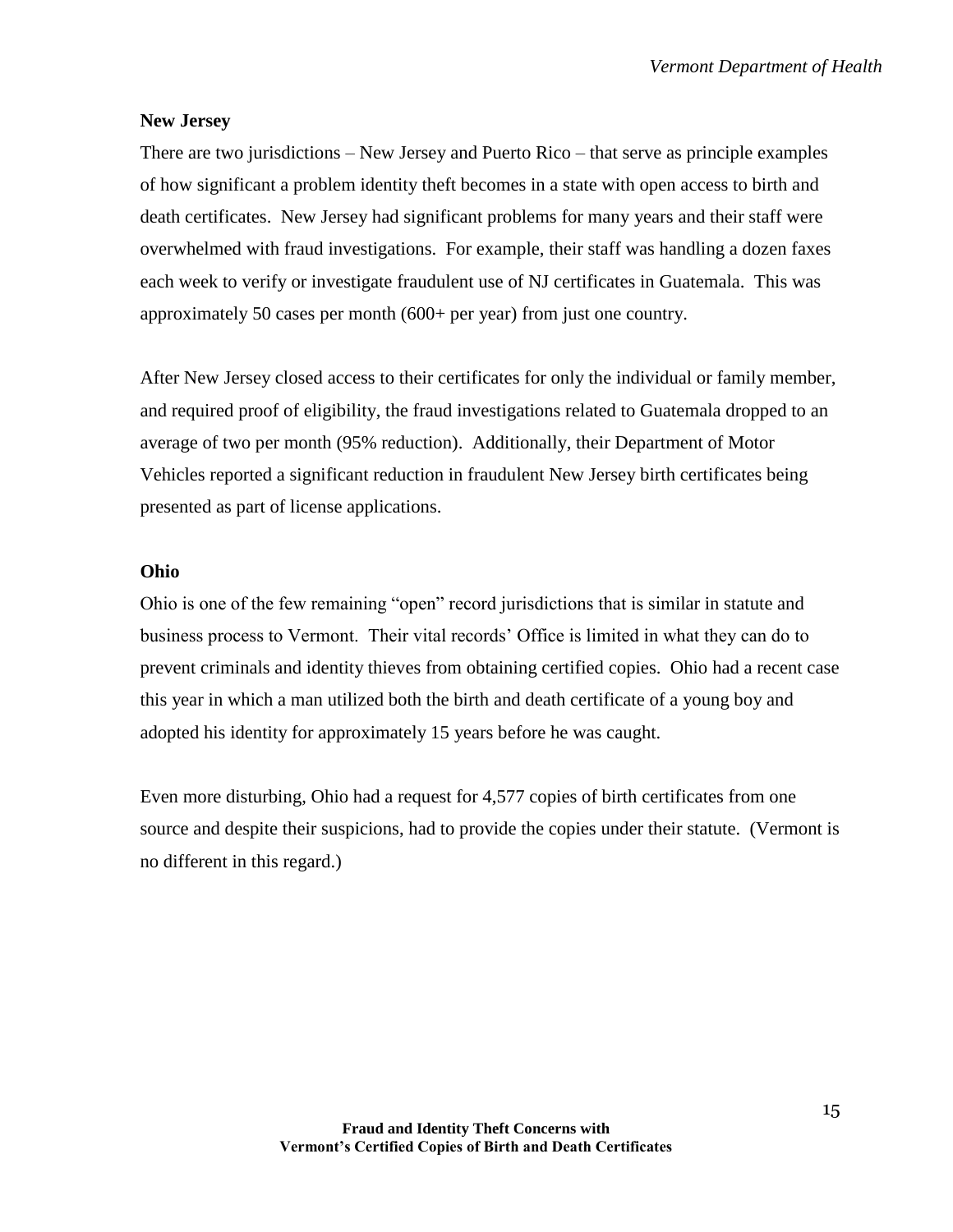#### **New Jersey**

There are two jurisdictions – New Jersey and Puerto Rico – that serve as principle examples of how significant a problem identity theft becomes in a state with open access to birth and death certificates. New Jersey had significant problems for many years and their staff were overwhelmed with fraud investigations. For example, their staff was handling a dozen faxes each week to verify or investigate fraudulent use of NJ certificates in Guatemala. This was approximately 50 cases per month (600+ per year) from just one country.

After New Jersey closed access to their certificates for only the individual or family member, and required proof of eligibility, the fraud investigations related to Guatemala dropped to an average of two per month (95% reduction). Additionally, their Department of Motor Vehicles reported a significant reduction in fraudulent New Jersey birth certificates being presented as part of license applications.

#### **Ohio**

Ohio is one of the few remaining "open" record jurisdictions that is similar in statute and business process to Vermont. Their vital records' Office is limited in what they can do to prevent criminals and identity thieves from obtaining certified copies. Ohio had a recent case this year in which a man utilized both the birth and death certificate of a young boy and adopted his identity for approximately 15 years before he was caught.

Even more disturbing, Ohio had a request for 4,577 copies of birth certificates from one source and despite their suspicions, had to provide the copies under their statute. (Vermont is no different in this regard.)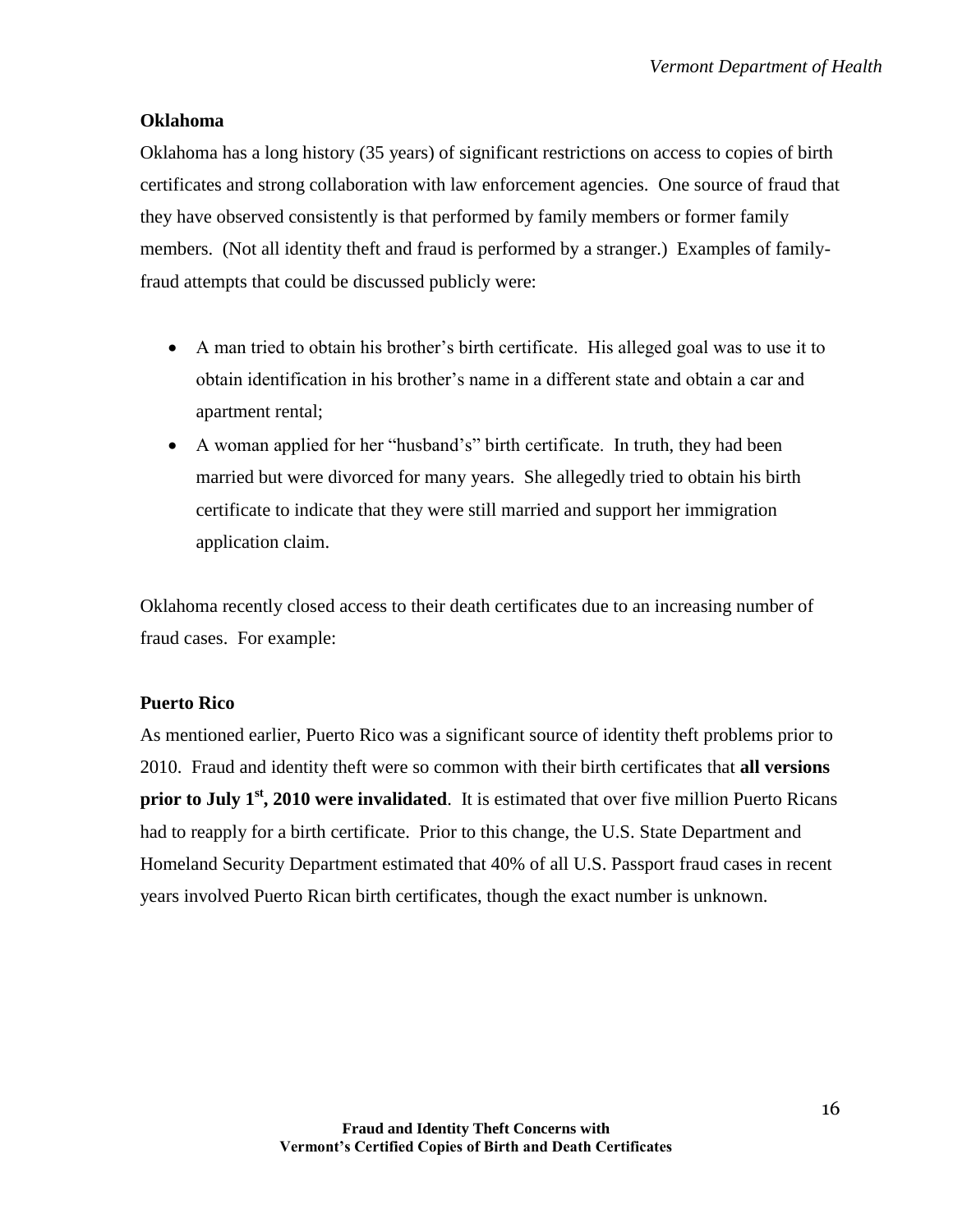## **Oklahoma**

Oklahoma has a long history (35 years) of significant restrictions on access to copies of birth certificates and strong collaboration with law enforcement agencies. One source of fraud that they have observed consistently is that performed by family members or former family members. (Not all identity theft and fraud is performed by a stranger.) Examples of familyfraud attempts that could be discussed publicly were:

- A man tried to obtain his brother's birth certificate. His alleged goal was to use it to obtain identification in his brother's name in a different state and obtain a car and apartment rental;
- A woman applied for her "husband's" birth certificate. In truth, they had been married but were divorced for many years. She allegedly tried to obtain his birth certificate to indicate that they were still married and support her immigration application claim.

Oklahoma recently closed access to their death certificates due to an increasing number of fraud cases. For example:

## **Puerto Rico**

As mentioned earlier, Puerto Rico was a significant source of identity theft problems prior to 2010. Fraud and identity theft were so common with their birth certificates that **all versions prior to July 1st, 2010 were invalidated**. It is estimated that over five million Puerto Ricans had to reapply for a birth certificate. Prior to this change, the U.S. State Department and Homeland Security Department estimated that 40% of all U.S. Passport fraud cases in recent years involved Puerto Rican birth certificates, though the exact number is unknown.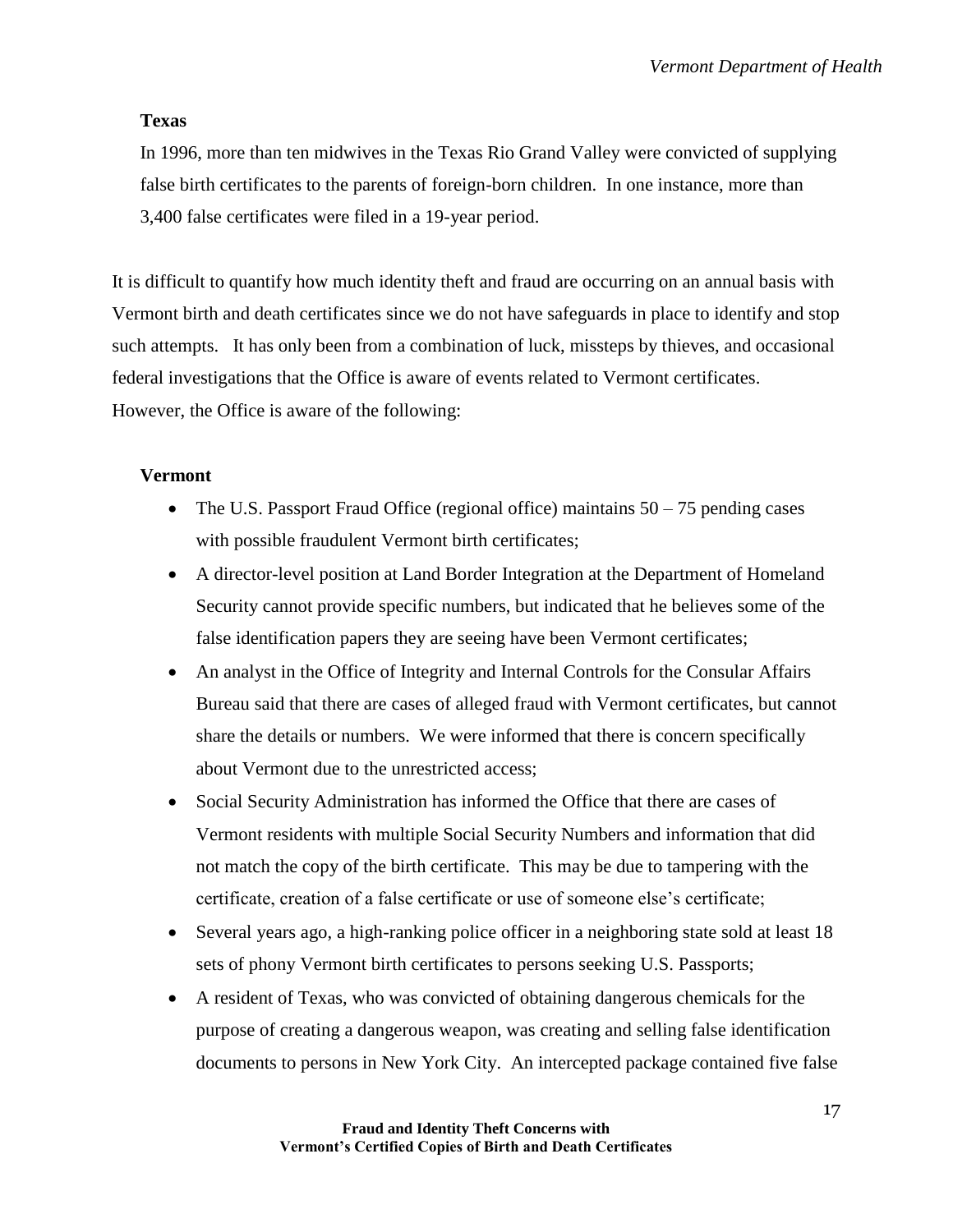## **Texas**

In 1996, more than ten midwives in the Texas Rio Grand Valley were convicted of supplying false birth certificates to the parents of foreign-born children. In one instance, more than 3,400 false certificates were filed in a 19-year period.

It is difficult to quantify how much identity theft and fraud are occurring on an annual basis with Vermont birth and death certificates since we do not have safeguards in place to identify and stop such attempts. It has only been from a combination of luck, missteps by thieves, and occasional federal investigations that the Office is aware of events related to Vermont certificates. However, the Office is aware of the following:

## **Vermont**

- The U.S. Passport Fraud Office (regional office) maintains  $50 75$  pending cases with possible fraudulent Vermont birth certificates;
- A director-level position at Land Border Integration at the Department of Homeland Security cannot provide specific numbers, but indicated that he believes some of the false identification papers they are seeing have been Vermont certificates;
- An analyst in the Office of Integrity and Internal Controls for the Consular Affairs Bureau said that there are cases of alleged fraud with Vermont certificates, but cannot share the details or numbers. We were informed that there is concern specifically about Vermont due to the unrestricted access;
- Social Security Administration has informed the Office that there are cases of Vermont residents with multiple Social Security Numbers and information that did not match the copy of the birth certificate. This may be due to tampering with the certificate, creation of a false certificate or use of someone else's certificate;
- Several years ago, a high-ranking police officer in a neighboring state sold at least 18 sets of phony Vermont birth certificates to persons seeking U.S. Passports;
- A resident of Texas, who was convicted of obtaining dangerous chemicals for the purpose of creating a dangerous weapon, was creating and selling false identification documents to persons in New York City. An intercepted package contained five false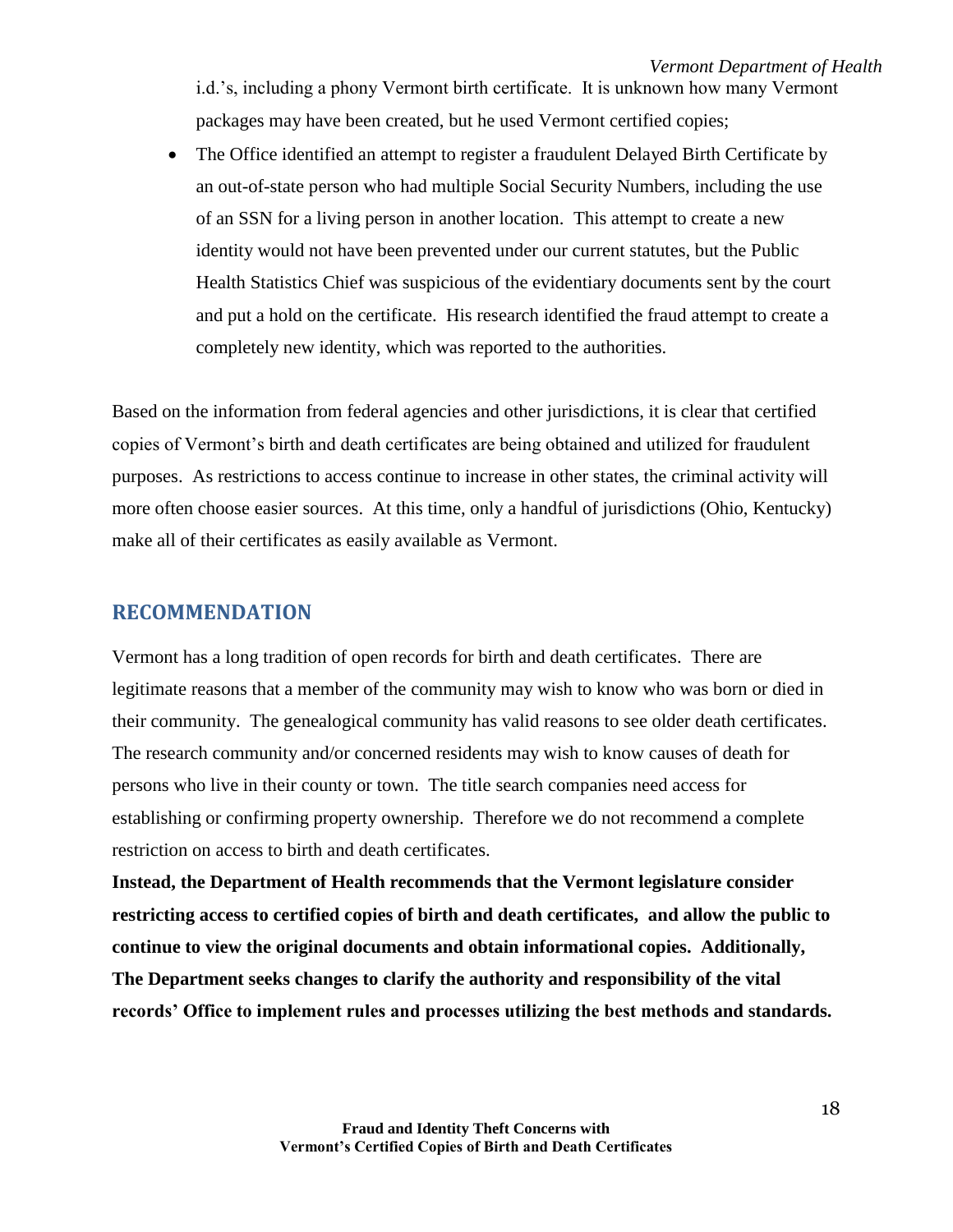i.d.'s, including a phony Vermont birth certificate. It is unknown how many Vermont packages may have been created, but he used Vermont certified copies;

• The Office identified an attempt to register a fraudulent Delayed Birth Certificate by an out-of-state person who had multiple Social Security Numbers, including the use of an SSN for a living person in another location. This attempt to create a new identity would not have been prevented under our current statutes, but the Public Health Statistics Chief was suspicious of the evidentiary documents sent by the court and put a hold on the certificate. His research identified the fraud attempt to create a completely new identity, which was reported to the authorities.

Based on the information from federal agencies and other jurisdictions, it is clear that certified copies of Vermont's birth and death certificates are being obtained and utilized for fraudulent purposes. As restrictions to access continue to increase in other states, the criminal activity will more often choose easier sources. At this time, only a handful of jurisdictions (Ohio, Kentucky) make all of their certificates as easily available as Vermont.

## <span id="page-17-0"></span>**RECOMMENDATION**

Vermont has a long tradition of open records for birth and death certificates. There are legitimate reasons that a member of the community may wish to know who was born or died in their community. The genealogical community has valid reasons to see older death certificates. The research community and/or concerned residents may wish to know causes of death for persons who live in their county or town. The title search companies need access for establishing or confirming property ownership. Therefore we do not recommend a complete restriction on access to birth and death certificates.

**Instead, the Department of Health recommends that the Vermont legislature consider restricting access to certified copies of birth and death certificates, and allow the public to continue to view the original documents and obtain informational copies. Additionally, The Department seeks changes to clarify the authority and responsibility of the vital records' Office to implement rules and processes utilizing the best methods and standards.**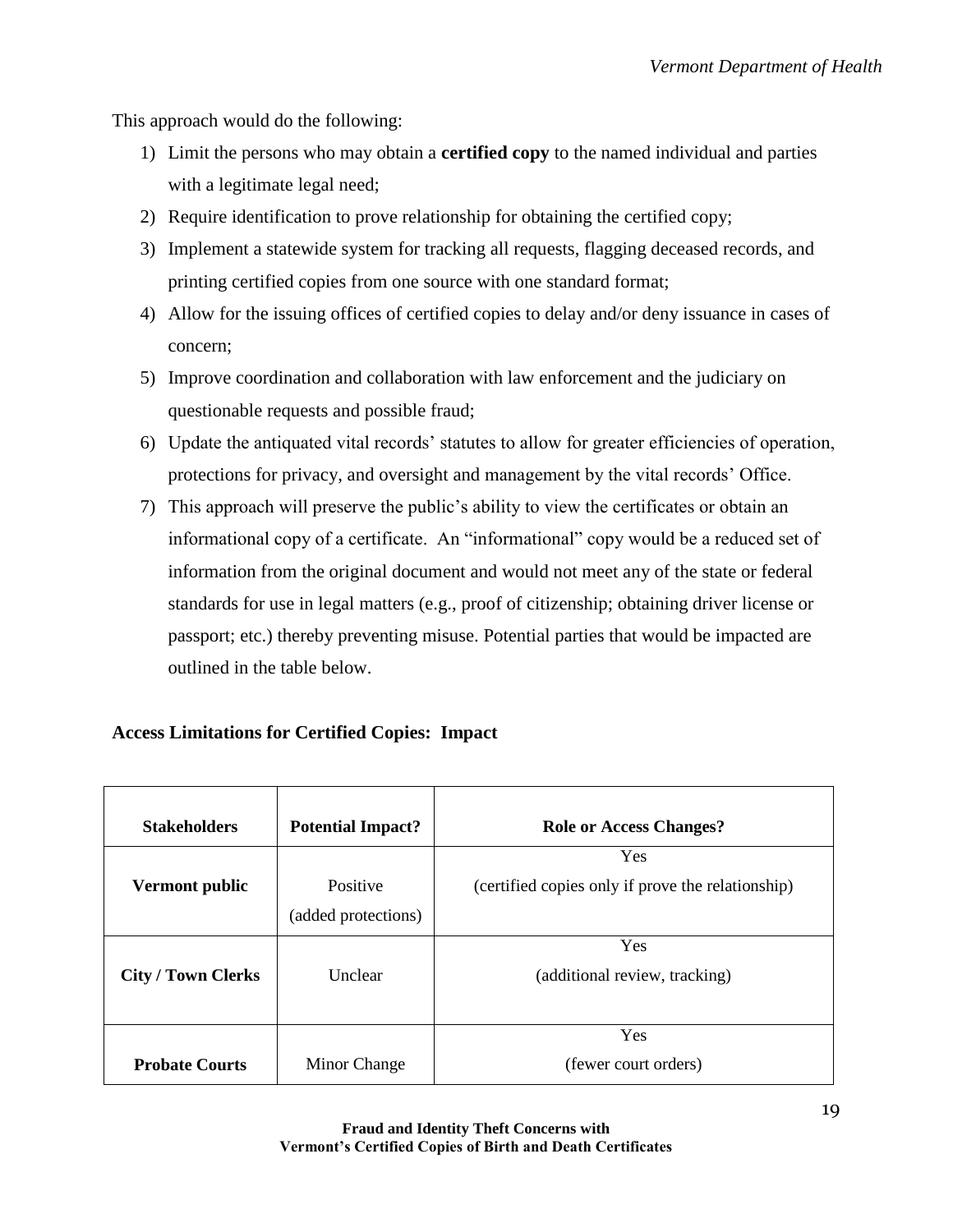This approach would do the following:

- 1) Limit the persons who may obtain a **certified copy** to the named individual and parties with a legitimate legal need;
- 2) Require identification to prove relationship for obtaining the certified copy;
- 3) Implement a statewide system for tracking all requests, flagging deceased records, and printing certified copies from one source with one standard format;
- 4) Allow for the issuing offices of certified copies to delay and/or deny issuance in cases of concern;
- 5) Improve coordination and collaboration with law enforcement and the judiciary on questionable requests and possible fraud;
- 6) Update the antiquated vital records' statutes to allow for greater efficiencies of operation, protections for privacy, and oversight and management by the vital records' Office.
- 7) This approach will preserve the public's ability to view the certificates or obtain an informational copy of a certificate. An "informational" copy would be a reduced set of information from the original document and would not meet any of the state or federal standards for use in legal matters (e.g., proof of citizenship; obtaining driver license or passport; etc.) thereby preventing misuse. Potential parties that would be impacted are outlined in the table below.

## **Access Limitations for Certified Copies: Impact**

| <b>Stakeholders</b>       | <b>Potential Impact?</b> | <b>Role or Access Changes?</b>                    |
|---------------------------|--------------------------|---------------------------------------------------|
|                           |                          | Yes                                               |
| Vermont public            | Positive                 | (certified copies only if prove the relationship) |
|                           | (added protections)      |                                                   |
|                           |                          | Yes                                               |
| <b>City / Town Clerks</b> | Unclear                  | (additional review, tracking)                     |
|                           |                          |                                                   |
|                           |                          | Yes                                               |
| <b>Probate Courts</b>     | Minor Change             | (fewer court orders)                              |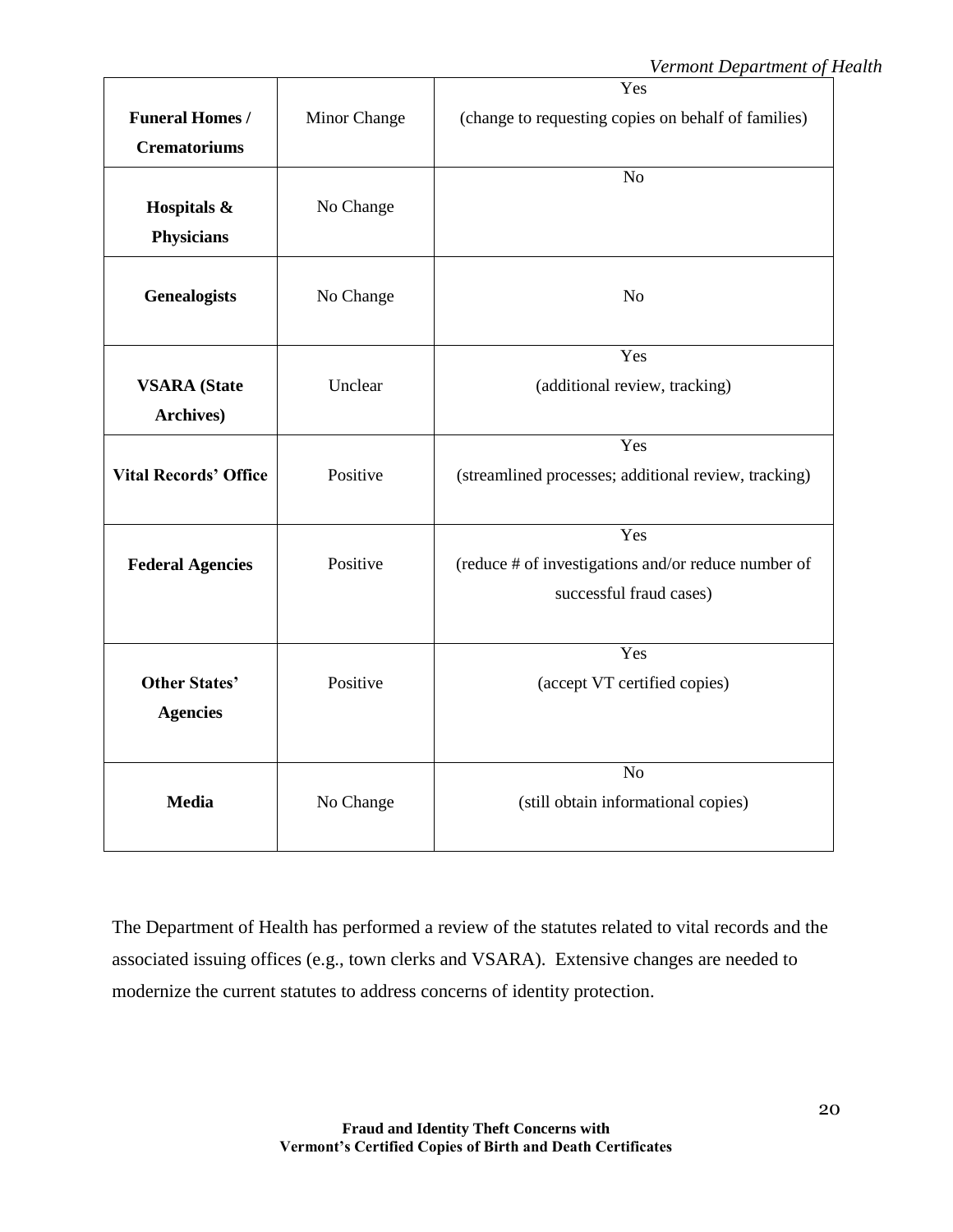|                              |              | Yes                                                  |
|------------------------------|--------------|------------------------------------------------------|
| <b>Funeral Homes /</b>       | Minor Change | (change to requesting copies on behalf of families)  |
| <b>Crematoriums</b>          |              |                                                      |
|                              |              | N <sub>o</sub>                                       |
| Hospitals &                  | No Change    |                                                      |
| <b>Physicians</b>            |              |                                                      |
| <b>Genealogists</b>          | No Change    | N <sub>o</sub>                                       |
|                              |              | Yes                                                  |
| <b>VSARA</b> (State          | Unclear      | (additional review, tracking)                        |
| Archives)                    |              |                                                      |
|                              |              | Yes                                                  |
| <b>Vital Records' Office</b> | Positive     | (streamlined processes; additional review, tracking) |
|                              |              | Yes                                                  |
| <b>Federal Agencies</b>      | Positive     | (reduce # of investigations and/or reduce number of  |
|                              |              | successful fraud cases)                              |
|                              |              | Yes                                                  |
| <b>Other States'</b>         | Positive     | (accept VT certified copies)                         |
|                              |              |                                                      |
| <b>Agencies</b>              |              |                                                      |
|                              |              | No                                                   |
| <b>Media</b>                 | No Change    | (still obtain informational copies)                  |
|                              |              |                                                      |
|                              |              |                                                      |

The Department of Health has performed a review of the statutes related to vital records and the associated issuing offices (e.g., town clerks and VSARA). Extensive changes are needed to modernize the current statutes to address concerns of identity protection.